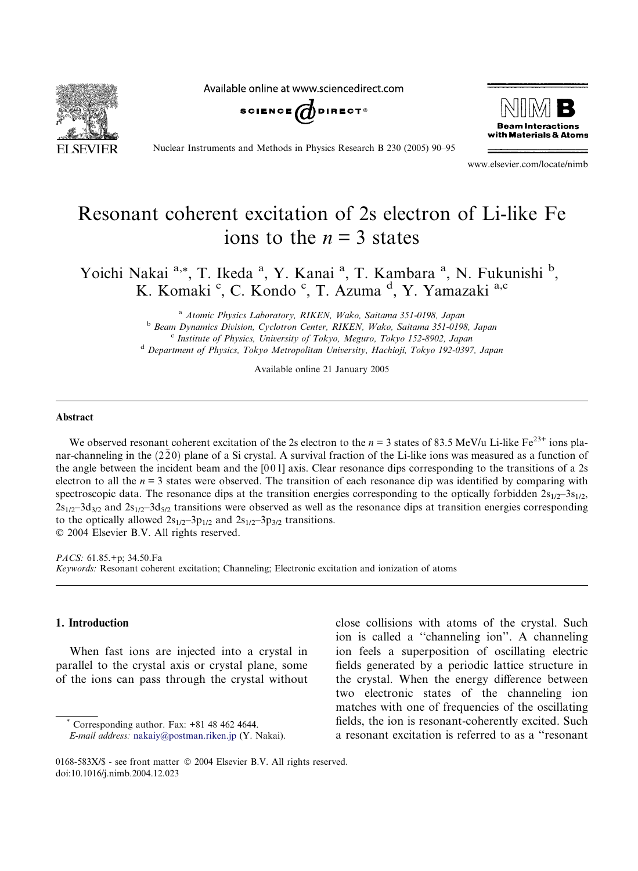Available online at www.sciencedirect.com







Nuclear Instruments and Methods in Physics Research B 230 (2005) 90–95

www.elsevier.com/locate/nimb

# Resonant coherent excitation of 2s electron of Li-like Fe ions to the  $n = 3$  states

Yoichi Nakai <sup>a,\*</sup>, T. Ikeda <sup>a</sup>, Y. Kanai <sup>a</sup>, T. Kambara <sup>a</sup>, N. Fukunishi <sup>b</sup>, K. Komaki<sup>c</sup>, C. Kondo<sup>c</sup>, T. Azuma<sup>d</sup>, Y. Yamazaki<sup>a,c</sup>

> <sup>a</sup> Atomic Physics Laboratory, RIKEN, Wako, Saitama 351-0198, Japan <sup>b</sup> Beam Dynamics Division, Cyclotron Center, RIKEN, Wako, Saitama 351-0198, Japan <sup>c</sup> Institute of Physics, University of Tokyo, Meguro, Tokyo 152-8902, Japan <sup>d</sup> Department of Physics, Tokyo Metropolitan University, Hachioji, Tokyo 192-0397, Japan

> > Available online 21 January 2005

#### Abstract

We observed resonant coherent excitation of the 2s electron to the  $n = 3$  states of 83.5 MeV/u Li-like Fe<sup>23+</sup> ions planar-channeling in the  $(2\bar{2}0)$  plane of a Si crystal. A survival fraction of the Li-like ions was measured as a function of the angle between the incident beam and the [001] axis. Clear resonance dips corresponding to the transitions of a 2s electron to all the  $n = 3$  states were observed. The transition of each resonance dip was identified by comparing with spectroscopic data. The resonance dips at the transition energies corresponding to the optically forbidden  $2s_{1/2}-3s_{1/2}$ ,  $2s_{1/2}$ –3d<sub>3/2</sub> and  $2s_{1/2}$ –3d<sub>5/2</sub> transitions were observed as well as the resonance dips at transition energies corresponding to the optically allowed  $2s_{1/2}$ –3p<sub>1/2</sub> and  $2s_{1/2}$ –3p<sub>3/2</sub> transitions.

2004 Elsevier B.V. All rights reserved.

PACS: 61.85.+p; 34.50.Fa Keywords: Resonant coherent excitation; Channeling; Electronic excitation and ionization of atoms

## 1. Introduction

When fast ions are injected into a crystal in parallel to the crystal axis or crystal plane, some of the ions can pass through the crystal without

Corresponding author. Fax:  $+81$  48 462 4644. E-mail address: [nakaiy@postman.riken.jp](mailto:nakaiy@postman.riken.jp ) (Y. Nakai). close collisions with atoms of the crystal. Such ion is called a ''channeling ion''. A channeling ion feels a superposition of oscillating electric fields generated by a periodic lattice structure in the crystal. When the energy difference between two electronic states of the channeling ion matches with one of frequencies of the oscillating fields, the ion is resonant-coherently excited. Such a resonant excitation is referred to as a ''resonant

<sup>0168-583</sup>X/\$ - see front matter © 2004 Elsevier B.V. All rights reserved. doi:10.1016/j.nimb.2004.12.023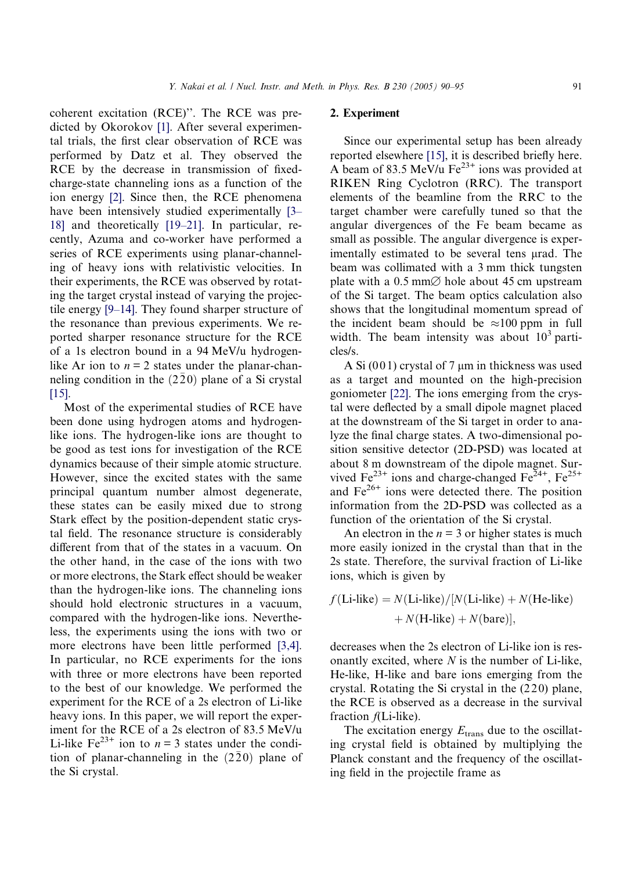coherent excitation (RCE)''. The RCE was predicted by Okorokov [\[1\].](#page-5-0) After several experimental trials, the first clear observation of RCE was performed by Datz et al. They observed the RCE by the decrease in transmission of fixedcharge-state channeling ions as a function of the ion energy [\[2\].](#page-5-0) Since then, the RCE phenomena have been intensively studied experimentally [\[3–](#page-5-0) [18\]](#page-5-0) and theoretically [\[19–21\].](#page-5-0) In particular, recently, Azuma and co-worker have performed a series of RCE experiments using planar-channeling of heavy ions with relativistic velocities. In their experiments, the RCE was observed by rotating the target crystal instead of varying the projectile energy [\[9–14\].](#page-5-0) They found sharper structure of the resonance than previous experiments. We reported sharper resonance structure for the RCE of a 1s electron bound in a 94 MeV/u hydrogenlike Ar ion to  $n = 2$  states under the planar-channeling condition in the  $(220)$  plane of a Si crystal [\[15\].](#page-5-0)

Most of the experimental studies of RCE have been done using hydrogen atoms and hydrogenlike ions. The hydrogen-like ions are thought to be good as test ions for investigation of the RCE dynamics because of their simple atomic structure. However, since the excited states with the same principal quantum number almost degenerate, these states can be easily mixed due to strong Stark effect by the position-dependent static crystal field. The resonance structure is considerably different from that of the states in a vacuum. On the other hand, in the case of the ions with two or more electrons, the Stark effect should be weaker than the hydrogen-like ions. The channeling ions should hold electronic structures in a vacuum, compared with the hydrogen-like ions. Nevertheless, the experiments using the ions with two or more electrons have been little performed [\[3,4\]](#page-5-0). In particular, no RCE experiments for the ions with three or more electrons have been reported to the best of our knowledge. We performed the experiment for the RCE of a 2s electron of Li-like heavy ions. In this paper, we will report the experiment for the RCE of a 2s electron of 83.5 MeV/u Li-like Fe<sup>23+</sup> ion to  $n = 3$  states under the condition of planar-channeling in the  $(2\bar{2}0)$  plane of the Si crystal.

#### 2. Experiment

Since our experimental setup has been already reported elsewhere [\[15\],](#page-5-0) it is described briefly here. A beam of 83.5 MeV/u  $Fe^{23+}$  ions was provided at RIKEN Ring Cyclotron (RRC). The transport elements of the beamline from the RRC to the target chamber were carefully tuned so that the angular divergences of the Fe beam became as small as possible. The angular divergence is experimentally estimated to be several tens  $\mu$ rad. The beam was collimated with a 3 mm thick tungsten plate with a  $0.5 \text{ mm}$  $\oslash$  hole about 45 cm upstream of the Si target. The beam optics calculation also shows that the longitudinal momentum spread of the incident beam should be  $\approx 100$  ppm in full width. The beam intensity was about  $10<sup>3</sup>$  particles/s.

A Si  $(001)$  crystal of 7  $\mu$ m in thickness was used as a target and mounted on the high-precision goniometer [\[22\]](#page-5-0). The ions emerging from the crystal were deflected by a small dipole magnet placed at the downstream of the Si target in order to analyze the final charge states. A two-dimensional position sensitive detector (2D-PSD) was located at about 8 m downstream of the dipole magnet. Survived Fe<sup>23+</sup> ions and charge-changed Fe<sup>24+</sup>, Fe<sup>25+</sup> and  $Fe<sup>26+</sup>$  ions were detected there. The position information from the 2D-PSD was collected as a function of the orientation of the Si crystal.

An electron in the  $n = 3$  or higher states is much more easily ionized in the crystal than that in the 2s state. Therefore, the survival fraction of Li-like ions, which is given by

$$
f(\text{Li-like}) = N(\text{Li-like})/[N(\text{Li-like}) + N(\text{He-like}) + N(\text{H-like}) + N(\text{bare})],
$$

decreases when the 2s electron of Li-like ion is resonantly excited, where  $N$  is the number of Li-like, He-like, H-like and bare ions emerging from the crystal. Rotating the Si crystal in the (220) plane, the RCE is observed as a decrease in the survival fraction  $f(Li-like)$ .

The excitation energy  $E_{trans}$  due to the oscillating crystal field is obtained by multiplying the Planck constant and the frequency of the oscillating field in the projectile frame as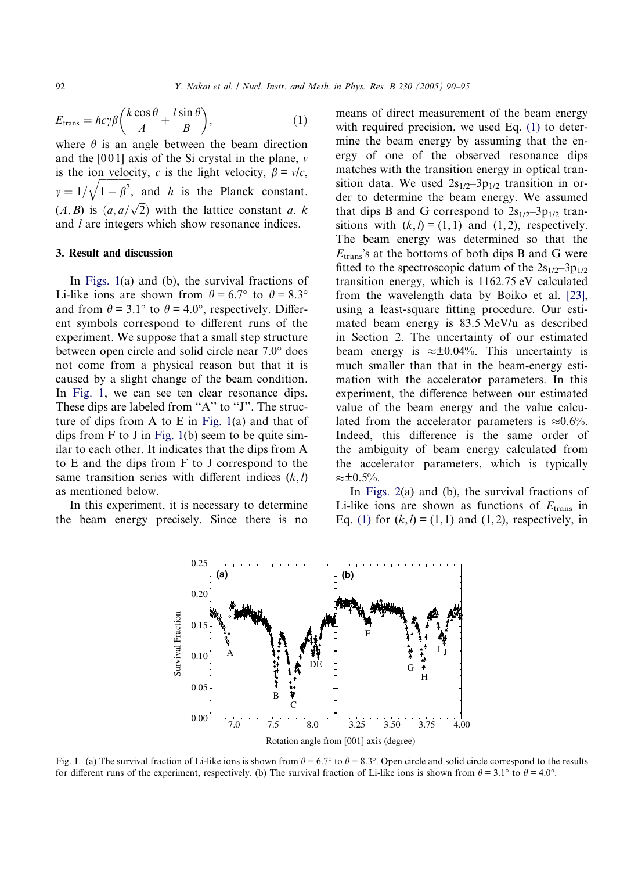$$
E_{\text{trans}} = hc\gamma\beta \left(\frac{k\cos\theta}{A} + \frac{l\sin\theta}{B}\right),\tag{1}
$$

where  $\theta$  is an angle between the beam direction and the  $[001]$  axis of the Si crystal in the plane,  $\nu$ is the ion velocity, c is the light velocity,  $\beta = v/c$ ,  $\gamma = 1/\sqrt{1-\beta^2}$ , and h is the Planck constant. (A, B) is  $(a, a/\sqrt{2})$  with the lattice constant a. k and l are integers which show resonance indices.

#### 3. Result and discussion

In Figs. 1(a) and (b), the survival fractions of Li-like ions are shown from  $\theta = 6.7^{\circ}$  to  $\theta = 8.3^{\circ}$ and from  $\theta = 3.1^{\circ}$  to  $\theta = 4.0^{\circ}$ , respectively. Different symbols correspond to different runs of the experiment. We suppose that a small step structure between open circle and solid circle near 7.0° does not come from a physical reason but that it is caused by a slight change of the beam condition. In Fig. 1, we can see ten clear resonance dips. These dips are labeled from "A" to "J". The structure of dips from A to E in Fig. 1(a) and that of dips from F to J in Fig. 1(b) seem to be quite similar to each other. It indicates that the dips from A to E and the dips from F to J correspond to the same transition series with different indices  $(k, l)$ as mentioned below.

In this experiment, it is necessary to determine the beam energy precisely. Since there is no

means of direct measurement of the beam energy with required precision, we used Eq. (1) to determine the beam energy by assuming that the energy of one of the observed resonance dips matches with the transition energy in optical transition data. We used  $2s_{1/2}$ –3p<sub>1/2</sub> transition in order to determine the beam energy. We assumed that dips B and G correspond to  $2s_{1/2}$ –3p<sub>1/2</sub> transitions with  $(k, l) = (1, 1)$  and  $(1, 2)$ , respectively. The beam energy was determined so that the  $E<sub>trans</sub>$ 's at the bottoms of both dips B and G were fitted to the spectroscopic datum of the  $2s_{1/2}$ –3p<sub>1/2</sub> transition energy, which is 1162.75 eV calculated from the wavelength data by Boiko et al. [\[23\]](#page-5-0), using a least-square fitting procedure. Our estimated beam energy is 83.5 MeV/u as described in Section 2. The uncertainty of our estimated beam energy is  $\approx \pm 0.04\%$ . This uncertainty is much smaller than that in the beam-energy estimation with the accelerator parameters. In this experiment, the difference between our estimated value of the beam energy and the value calculated from the accelerator parameters is  $\approx 0.6\%$ . Indeed, this difference is the same order of the ambiguity of beam energy calculated from the accelerator parameters, which is typically  $\approx \pm 0.5\%$ .

In [Figs. 2\(](#page-3-0)a) and (b), the survival fractions of Li-like ions are shown as functions of  $E_{trans}$  in Eq. (1) for  $(k, l) = (1, 1)$  and  $(1, 2)$ , respectively, in



Fig. 1. (a) The survival fraction of Li-like ions is shown from  $\theta = 6.7^{\circ}$  to  $\theta = 8.3^{\circ}$ . Open circle and solid circle correspond to the results for different runs of the experiment, respectively. (b) The survival fraction of Li-like ions is shown from  $\theta = 3.1^{\circ}$  to  $\theta = 4.0^{\circ}$ .

<span id="page-2-0"></span>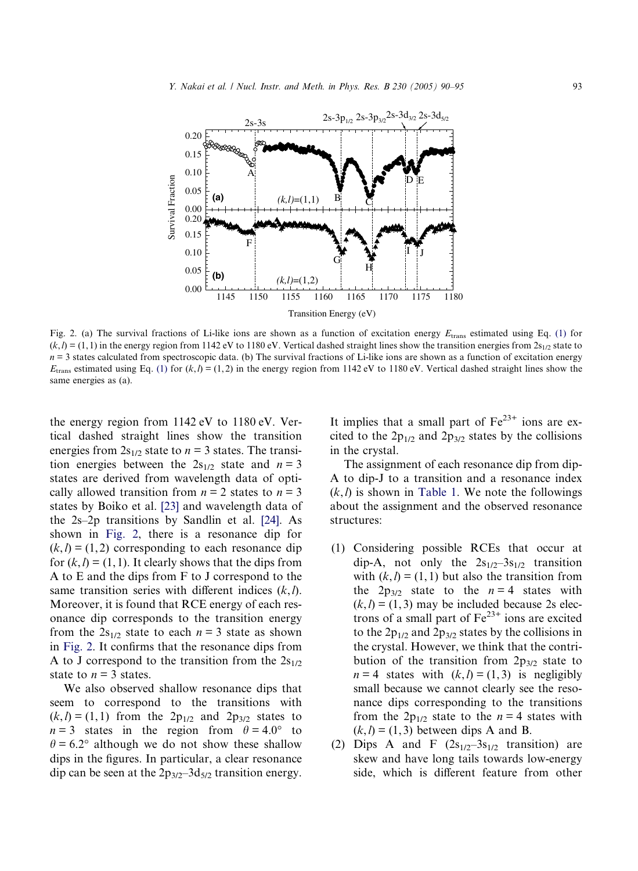<span id="page-3-0"></span>

Fig. 2. (a) The survival fractions of Li-like ions are shown as a function of excitation energy  $E_{trans}$  estimated using Eq. [\(1\)](#page-2-0) for  $(k,l) = (1,1)$  in the energy region from 1142 eV to 1180 eV. Vertical dashed straight lines show the transition energies from  $2s_{1/2}$  state to  $n = 3$  states calculated from spectroscopic data. (b) The survival fractions of Li-like ions are shown as a function of excitation energy  $E_{\text{trans}}$  estimated using Eq. [\(1\)](#page-2-0) for  $(k,l) = (1,2)$  in the energy region from 1142 eV to 1180 eV. Vertical dashed straight lines show the same energies as (a).

the energy region from 1142 eV to 1180 eV. Vertical dashed straight lines show the transition energies from  $2s_{1/2}$  state to  $n = 3$  states. The transition energies between the  $2s_{1/2}$  state and  $n = 3$ states are derived from wavelength data of optically allowed transition from  $n = 2$  states to  $n = 3$ states by Boiko et al. [\[23\]](#page-5-0) and wavelength data of the 2s–2p transitions by Sandlin et al. [\[24\]](#page-5-0). As shown in Fig. 2, there is a resonance dip for  $(k,l) = (1,2)$  corresponding to each resonance dip for  $(k, l) = (1, 1)$ . It clearly shows that the dips from A to E and the dips from F to J correspond to the same transition series with different indices  $(k, l)$ . Moreover, it is found that RCE energy of each resonance dip corresponds to the transition energy from the  $2s_{1/2}$  state to each  $n = 3$  state as shown in Fig. 2. It confirms that the resonance dips from A to J correspond to the transition from the  $2s_{1/2}$ state to  $n = 3$  states.

We also observed shallow resonance dips that seem to correspond to the transitions with  $(k,l) = (1,1)$  from the 2p<sub>1/2</sub> and 2p<sub>3/2</sub> states to  $n = 3$  states in the region from  $\theta = 4.0^{\circ}$  to  $\theta = 6.2^{\circ}$  although we do not show these shallow dips in the figures. In particular, a clear resonance dip can be seen at the  $2p_{3/2}$ –3d<sub>5/2</sub> transition energy. It implies that a small part of  $Fe^{23+}$  ions are excited to the  $2p_{1/2}$  and  $2p_{3/2}$  states by the collisions in the crystal.

The assignment of each resonance dip from dip-A to dip-J to a transition and a resonance index  $(k, l)$  is shown in [Table 1.](#page-4-0) We note the followings about the assignment and the observed resonance structures:

- (1) Considering possible RCEs that occur at dip-A, not only the  $2s_{1/2}$ -3s<sub>1/2</sub> transition with  $(k,l) = (1,1)$  but also the transition from the  $2p_{3/2}$  state to the  $n = 4$  states with  $(k, l) = (1, 3)$  may be included because 2s electrons of a small part of  $Fe^{23+}$  ions are excited to the  $2p_{1/2}$  and  $2p_{3/2}$  states by the collisions in the crystal. However, we think that the contribution of the transition from  $2p_{3/2}$  state to  $n = 4$  states with  $(k, l) = (1, 3)$  is negligibly small because we cannot clearly see the resonance dips corresponding to the transitions from the  $2p_{1/2}$  state to the  $n = 4$  states with  $(k, l) = (1, 3)$  between dips A and B.
- (2) Dips A and F  $(2s_{1/2}-3s_{1/2}$  transition) are skew and have long tails towards low-energy side, which is different feature from other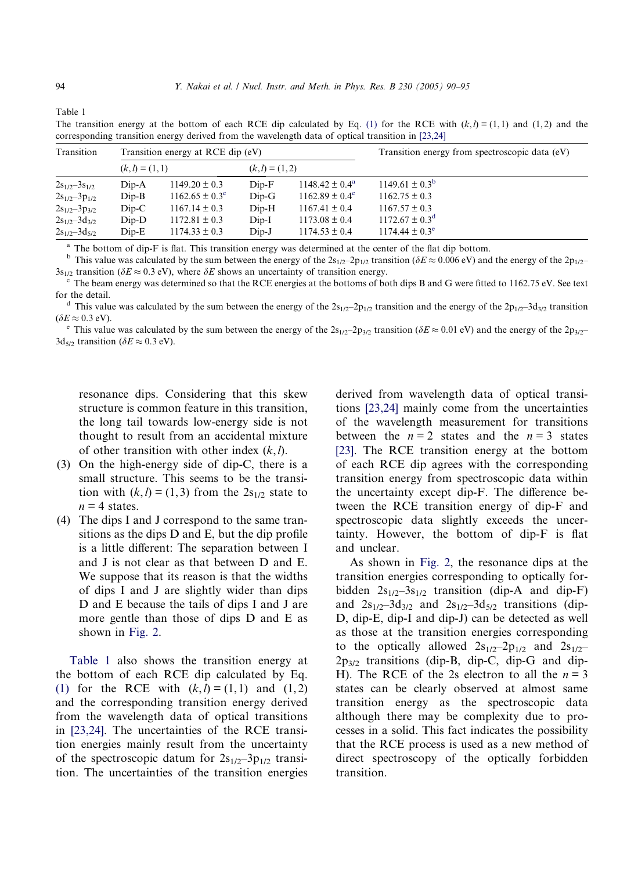<span id="page-4-0"></span>Table 1

The transition energy at the bottom of each RCE dip calculated by Eq. [\(1\)](#page-2-0) for the RCE with  $(k,l) = (1,1)$  and  $(1,2)$  and the corresponding transition energy derived from the wavelength data of optical transition in [\[23,24\]](#page-5-0)

| Transition<br>$2s_{1/2} - 3s_{1/2}$ | Transition energy at RCE dip (eV) |                           |                   |                           | Transition energy from spectroscopic data (eV) |
|-------------------------------------|-----------------------------------|---------------------------|-------------------|---------------------------|------------------------------------------------|
|                                     | $(k, l) = (1, 1)$                 |                           | $(k, l) = (1, 2)$ |                           |                                                |
|                                     | $Dip-A$                           | $1149.20 \pm 0.3$         | $Dip-F$           | $1148.42 \pm 0.4^{\circ}$ | $1149.61 \pm 0.3^b$                            |
| $2s_{1/2} - 3p_{1/2}$               | $Dip-B$                           | $1162.65 \pm 0.3^{\circ}$ | $Dip-G$           | $1162.89 \pm 0.4^{\circ}$ | $1162.75 \pm 0.3$                              |
| $2s_{1/2} - 3p_{3/2}$               | $Dip-C$                           | $1167.14 \pm 0.3$         | $Dip-H$           | $1167.41 \pm 0.4$         | $1167.57 \pm 0.3$                              |
| $2s_{1/2} - 3d_{3/2}$               | $Dip-D$                           | $1172.81 \pm 0.3$         | $Dip-I$           | $1173.08 \pm 0.4$         | $1172.67 \pm 0.3^d$                            |
| $2s_{1/2} - 3d_{5/2}$               | $Dip-E$                           | $1174.33 \pm 0.3$         | $Dip-J$           | $1174.53 \pm 0.4$         | $1174.44 \pm 0.3^e$                            |

<sup>a</sup> The bottom of dip-F is flat. This transition energy was determined at the center of the flat dip bottom.<br><sup>b</sup> This value was calculated by the sum between the energy of the  $2s_{1/2}$ -2p<sub>1/2</sub> transition ( $\delta E \approx 0.006$  e

 $\degree$  The beam energy was determined so that the RCE energies at the bottoms of both dips B and G were fitted to 1162.75 eV. See text for the detail.<br>d This value was calculated by the sum between the energy of the  $2s_{1/2}-2p_{1/2}$  transition and the energy of the  $2p_{1/2}-3d_{3/2}$  transition

( $\delta E \approx 0.3$  eV).<br><sup>e</sup> This value was calculated by the sum between the energy of the 2s<sub>1/2</sub>–2p<sub>3/2</sub> transition ( $\delta E \approx 0.01$  eV) and the energy of the 2p<sub>3/2</sub>–

3d<sub>5/2</sub> transition ( $\delta E \approx 0.3$  eV).

resonance dips. Considering that this skew structure is common feature in this transition, the long tail towards low-energy side is not thought to result from an accidental mixture of other transition with other index  $(k, l)$ .

- (3) On the high-energy side of dip-C, there is a small structure. This seems to be the transition with  $(k,l) = (1,3)$  from the  $2s_{1/2}$  state to  $n = 4$  states.
- (4) The dips I and J correspond to the same transitions as the dips D and E, but the dip profile is a little different: The separation between I and J is not clear as that between D and E. We suppose that its reason is that the widths of dips I and J are slightly wider than dips D and E because the tails of dips I and J are more gentle than those of dips D and E as shown in [Fig. 2](#page-3-0).

Table 1 also shows the transition energy at the bottom of each RCE dip calculated by Eq. [\(1\)](#page-2-0) for the RCE with  $(k, l) = (1, 1)$  and  $(1, 2)$ and the corresponding transition energy derived from the wavelength data of optical transitions in [\[23,24\].](#page-5-0) The uncertainties of the RCE transition energies mainly result from the uncertainty of the spectroscopic datum for  $2s_{1/2}$ –3p<sub>1/2</sub> transition. The uncertainties of the transition energies derived from wavelength data of optical transitions [\[23,24\]](#page-5-0) mainly come from the uncertainties of the wavelength measurement for transitions between the  $n = 2$  states and the  $n = 3$  states [\[23\].](#page-5-0) The RCE transition energy at the bottom of each RCE dip agrees with the corresponding transition energy from spectroscopic data within the uncertainty except dip-F. The difference between the RCE transition energy of dip-F and spectroscopic data slightly exceeds the uncertainty. However, the bottom of dip-F is flat and unclear.

As shown in [Fig. 2](#page-3-0), the resonance dips at the transition energies corresponding to optically forbidden  $2s_{1/2}$ –3s<sub>1/2</sub> transition (dip-A and dip-F) and  $2s_{1/2}$ –3d<sub>3/2</sub> and  $2s_{1/2}$ –3d<sub>5/2</sub> transitions (dip-D, dip-E, dip-I and dip-J) can be detected as well as those at the transition energies corresponding to the optically allowed  $2s_{1/2}$ – $2p_{1/2}$  and  $2s_{1/2}$ –  $2p_{3/2}$  transitions (dip-B, dip-C, dip-G and dip-H). The RCE of the 2s electron to all the  $n = 3$ states can be clearly observed at almost same transition energy as the spectroscopic data although there may be complexity due to processes in a solid. This fact indicates the possibility that the RCE process is used as a new method of direct spectroscopy of the optically forbidden transition.